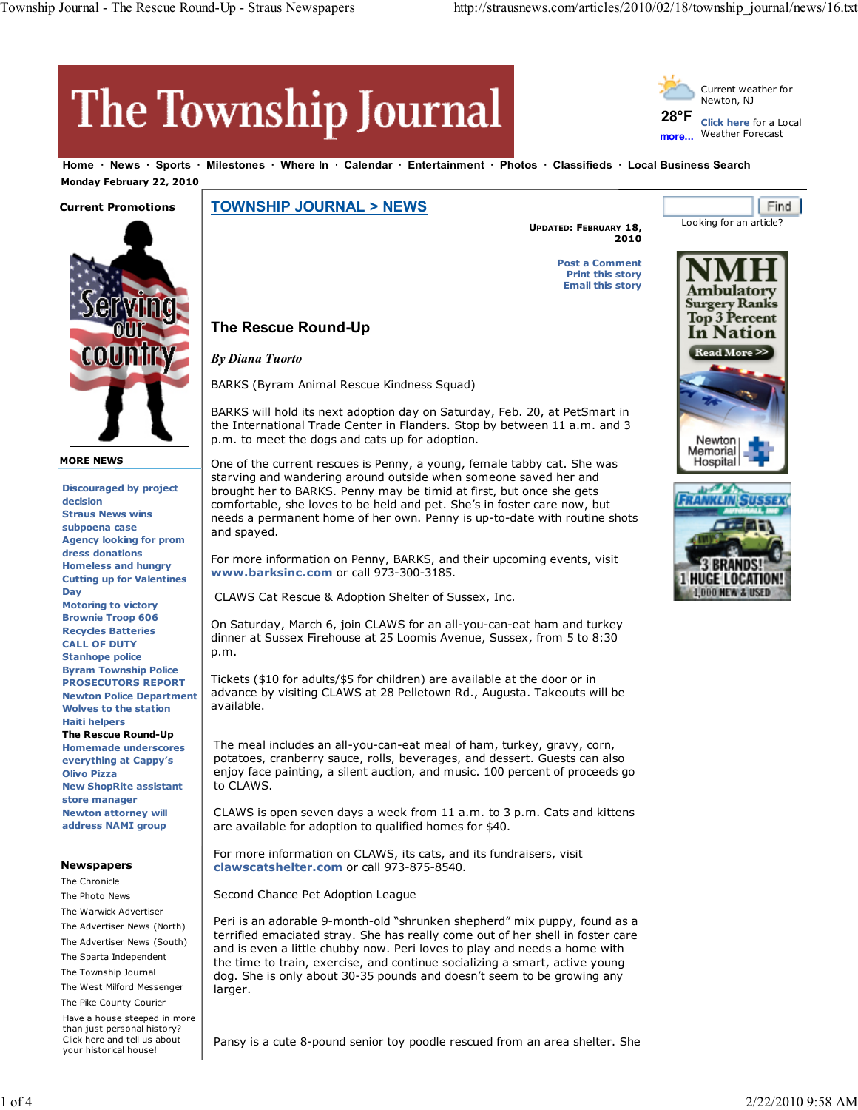# The Township Journal

**The Rescue Round-Up**

*By Diana Tuorto*



Looking for an article?

**Find** 

**Home News Sports Milestones Where In Calendar Entertainment Photos Classifieds Local Business Search Monday February 22, 2010**

# **Current Promotions**



**MORE NEWS**

**Discouraged by project decision Straus News wins subpoena case Agency looking for prom dress donations Homeless and hungry Cutting up for Valentines Day Motoring to victory Brownie Troop 606 Recycles Batteries CALL OF DUTY Stanhope police Byram Township Police PROSECUTORS REPORT Newton Police Department Wolves to the station Haiti helpers The Rescue Round-Up Homemade underscores everything at Cappy's Olivo Pizza New ShopRite assistant store manager Newton attorney will address NAMI group**

# **Newspapers**

The Chronicle The Photo News The Warwick Advertiser The Advertiser News (North) The Advertiser News (South) The Sparta Independent The Township Journal The West Milford Messenger The Pike County Courier

Have a house steeped in more than just personal history? Click here and tell us about your historical house!

**TOWNSHIP JOURNAL > NEWS**

BARKS (Byram Animal Rescue Kindness Squad)

p.m. to meet the dogs and cats up for adoption.

**UPDATED: FEBRUARY 18, 2010**

> **Post a Comment Print this story Email this story**





One of the current rescues is Penny, a young, female tabby cat. She was starving and wandering around outside when someone saved her and brought her to BARKS. Penny may be timid at first, but once she gets comfortable, she loves to be held and pet. She's in foster care now, but needs a permanent home of her own. Penny is up-to-date with routine shots and spayed.

BARKS will hold its next adoption day on Saturday, Feb. 20, at PetSmart in the International Trade Center in Flanders. Stop by between 11 a.m. and 3

For more information on Penny, BARKS, and their upcoming events, visit **www.barksinc.com** or call 973-300-3185.

CLAWS Cat Rescue & Adoption Shelter of Sussex, Inc.

On Saturday, March 6, join CLAWS for an all-you-can-eat ham and turkey dinner at Sussex Firehouse at 25 Loomis Avenue, Sussex, from 5 to 8:30 p.m.

Tickets (\$10 for adults/\$5 for children) are available at the door or in advance by visiting CLAWS at 28 Pelletown Rd., Augusta. Takeouts will be available.

The meal includes an all-you-can-eat meal of ham, turkey, gravy, corn, potatoes, cranberry sauce, rolls, beverages, and dessert. Guests can also enjoy face painting, a silent auction, and music. 100 percent of proceeds go to CLAWS.

CLAWS is open seven days a week from 11 a.m. to 3 p.m. Cats and kittens are available for adoption to qualified homes for \$40.

For more information on CLAWS, its cats, and its fundraisers, visit **clawscatshelter.com** or call 973-875-8540.

Second Chance Pet Adoption League

Peri is an adorable 9-month-old "shrunken shepherd" mix puppy, found as a terrified emaciated stray. She has really come out of her shell in foster care and is even a little chubby now. Peri loves to play and needs a home with the time to train, exercise, and continue socializing a smart, active young dog. She is only about 30-35 pounds and doesn't seem to be growing any larger.

Pansy is a cute 8-pound senior toy poodle rescued from an area shelter. She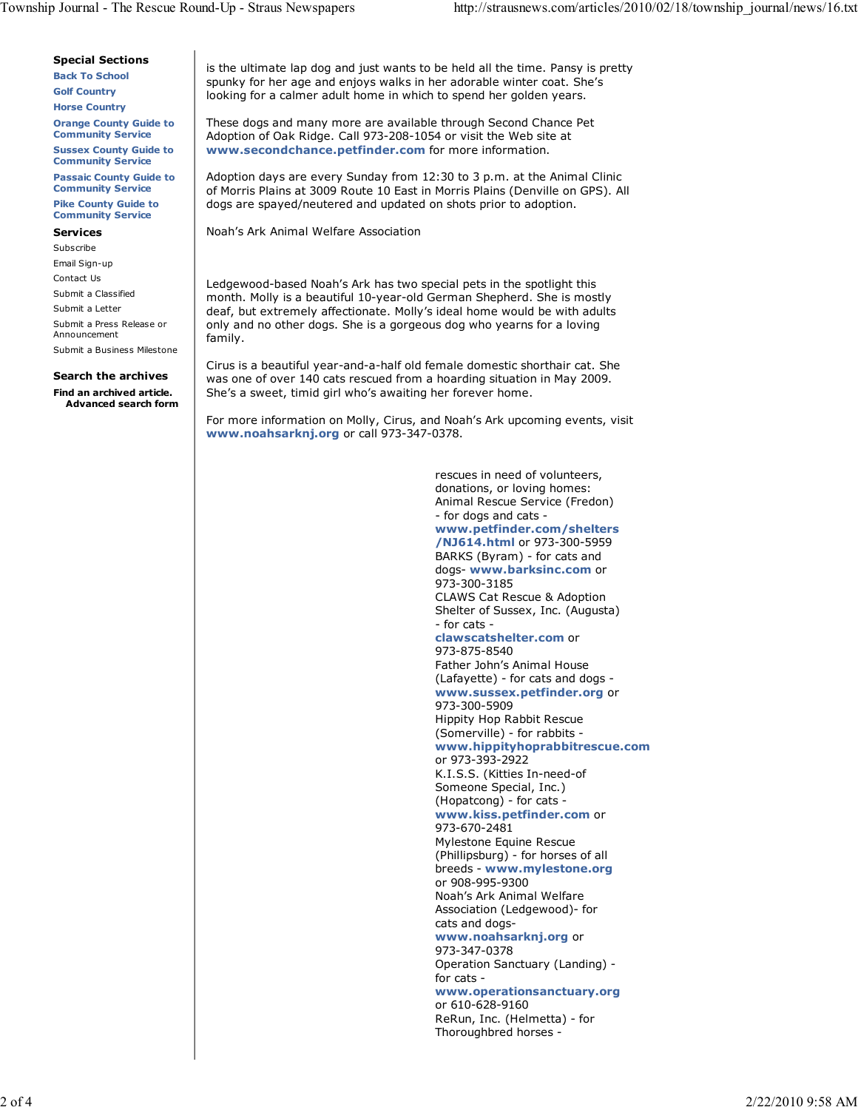#### **Special Sections**

**Back To School Golf Country Horse Country**

**Orange County Guide to Community Service**

**Sussex County Guide to Community Service**

**Passaic County Guide to**

**Community Service**

**Pike County Guide to Community Service**

## **Services**

Subscribe Email Sign-up

Contact Us Submit a Classified

Submit a Letter

Submit a Press Release or Announcement

Submit a Business Milestone

### **Search the archives**

**Find an archived article. Advanced search form** is the ultimate lap dog and just wants to be held all the time. Pansy is pretty spunky for her age and enjoys walks in her adorable winter coat. She's looking for a calmer adult home in which to spend her golden years.

These dogs and many more are available through Second Chance Pet Adoption of Oak Ridge. Call 973-208-1054 or visit the Web site at **www.secondchance.petfinder.com** for more information.

Adoption days are every Sunday from 12:30 to 3 p.m. at the Animal Clinic of Morris Plains at 3009 Route 10 East in Morris Plains (Denville on GPS). All dogs are spayed/neutered and updated on shots prior to adoption.

Noah's Ark Animal Welfare Association

Ledgewood-based Noah's Ark has two special pets in the spotlight this month. Molly is a beautiful 10-year-old German Shepherd. She is mostly deaf, but extremely affectionate. Molly's ideal home would be with adults only and no other dogs. She is a gorgeous dog who yearns for a loving family.

Cirus is a beautiful year-and-a-half old female domestic shorthair cat. She was one of over 140 cats rescued from a hoarding situation in May 2009. She's a sweet, timid girl who's awaiting her forever home.

For more information on Molly, Cirus, and Noah's Ark upcoming events, visit **www.noahsarknj.org** or call 973-347-0378.

> rescues in need of volunteers, donations, or loving homes: Animal Rescue Service (Fredon) - for dogs and cats **www.petfinder.com/shelters /NJ614.html** or 973-300-5959 BARKS (Byram) - for cats and dogs- **www.barksinc.com** or 973-300-3185 CLAWS Cat Rescue & Adoption Shelter of Sussex, Inc. (Augusta) - for cats **clawscatshelter.com** or 973-875-8540 Father John's Animal House (Lafayette) - for cats and dogs **www.sussex.petfinder.org** or 973-300-5909 Hippity Hop Rabbit Rescue (Somerville) - for rabbits **www.hippityhoprabbitrescue.com** or 973-393-2922 K.I.S.S. (Kitties In-need-of Someone Special, Inc.) (Hopatcong) - for cats **www.kiss.petfinder.com** or 973-670-2481 Mylestone Equine Rescue (Phillipsburg) - for horses of all breeds - **www.mylestone.org** or 908-995-9300 Noah's Ark Animal Welfare Association (Ledgewood)- for cats and dogs**www.noahsarknj.org** or 973-347-0378 Operation Sanctuary (Landing) for cats **www.operationsanctuary.org** or 610-628-9160 ReRun, Inc. (Helmetta) - for Thoroughbred horses -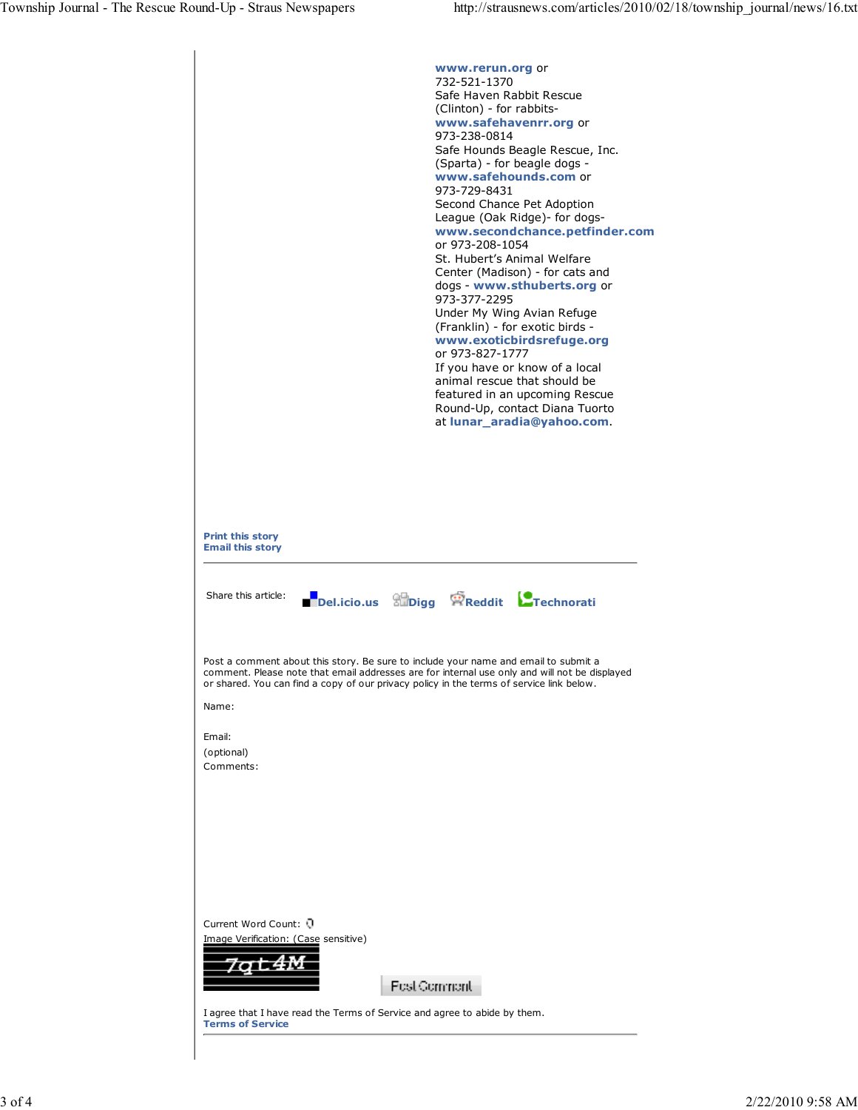